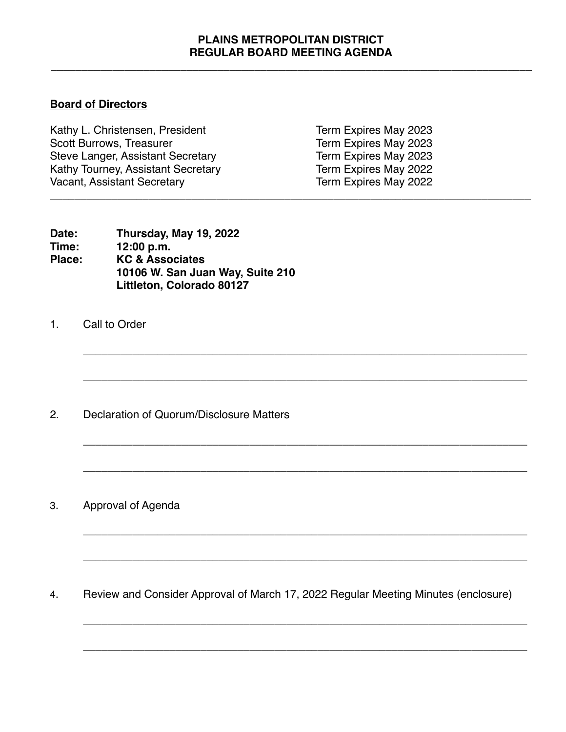## **PLAINS METROPOLITAN DISTRICT REGULAR BOARD MEETING AGENDA**

\_\_\_\_\_\_\_\_\_\_\_\_\_\_\_\_\_\_\_\_\_\_\_\_\_\_\_\_\_\_\_\_\_\_\_\_\_\_\_\_\_\_\_\_\_\_\_\_\_\_\_\_\_\_\_\_\_\_\_\_\_\_\_\_\_\_\_\_\_\_\_\_\_\_\_\_\_\_

**\_\_\_\_\_\_\_\_\_\_\_\_\_\_\_\_\_\_\_\_\_\_\_\_\_\_\_\_\_\_\_\_\_\_\_\_\_\_\_\_\_\_\_\_\_\_\_\_\_\_\_\_\_\_\_\_\_\_\_\_\_\_\_\_\_\_\_\_\_\_\_\_**

**\_\_\_\_\_\_\_\_\_\_\_\_\_\_\_\_\_\_\_\_\_\_\_\_\_\_\_\_\_\_\_\_\_\_\_\_\_\_\_\_\_\_\_\_\_\_\_\_\_\_\_\_\_\_\_\_\_\_\_\_\_\_\_\_\_\_\_\_\_\_\_\_**

**\_\_\_\_\_\_\_\_\_\_\_\_\_\_\_\_\_\_\_\_\_\_\_\_\_\_\_\_\_\_\_\_\_\_\_\_\_\_\_\_\_\_\_\_\_\_\_\_\_\_\_\_\_\_\_\_\_\_\_\_\_\_\_\_\_\_\_\_\_\_\_\_**

**\_\_\_\_\_\_\_\_\_\_\_\_\_\_\_\_\_\_\_\_\_\_\_\_\_\_\_\_\_\_\_\_\_\_\_\_\_\_\_\_\_\_\_\_\_\_\_\_\_\_\_\_\_\_\_\_\_\_\_\_\_\_\_\_\_\_\_\_\_\_\_\_**

**\_\_\_\_\_\_\_\_\_\_\_\_\_\_\_\_\_\_\_\_\_\_\_\_\_\_\_\_\_\_\_\_\_\_\_\_\_\_\_\_\_\_\_\_\_\_\_\_\_\_\_\_\_\_\_\_\_\_\_\_\_\_\_\_\_\_\_\_\_\_\_\_**

**\_\_\_\_\_\_\_\_\_\_\_\_\_\_\_\_\_\_\_\_\_\_\_\_\_\_\_\_\_\_\_\_\_\_\_\_\_\_\_\_\_\_\_\_\_\_\_\_\_\_\_\_\_\_\_\_\_\_\_\_\_\_\_\_\_\_\_\_\_\_\_\_**

\_\_\_\_\_\_\_\_\_\_\_\_\_\_\_\_\_\_\_\_\_\_\_\_\_\_\_\_\_\_\_\_\_\_\_\_\_\_\_\_\_\_\_\_\_\_\_\_\_\_\_\_\_\_\_\_\_\_\_\_\_\_\_\_\_\_\_\_\_\_\_\_

**\_\_\_\_\_\_\_\_\_\_\_\_\_\_\_\_\_\_\_\_\_\_\_\_\_\_\_\_\_\_\_\_\_\_\_\_\_\_\_\_\_\_\_\_\_\_\_\_\_\_\_\_\_\_\_\_\_\_\_\_\_\_\_\_\_\_\_\_\_\_\_\_**

## **Board of Directors**

Kathy L. Christensen, President Term Expires May 2023<br>Scott Burrows, Treasurer Term Expires May 2023 Steve Langer, Assistant Secretary<br>
Kathy Tourney, Assistant Secretary<br>
Term Expires May 2022 Kathy Tourney, Assistant Secretary Vacant, Assistant Secretary **Term Expires May 2022** \_\_\_\_\_\_\_\_\_\_\_\_\_\_\_\_\_\_\_\_\_\_\_\_\_\_\_\_\_\_\_\_\_\_\_\_\_\_\_\_\_\_\_\_\_\_\_\_\_\_\_\_\_\_\_\_\_\_\_\_\_\_\_\_\_\_\_\_\_\_\_\_\_\_\_\_\_\_

Term Expires May 2023<br>Term Expires May 2023

| Date:  | Thursday, May 19, 2022           |  |
|--------|----------------------------------|--|
| Time:  | 12:00 p.m.                       |  |
| Place: | <b>KC &amp; Associates</b>       |  |
|        | 10106 W. San Juan Way, Suite 210 |  |
|        | Littleton, Colorado 80127        |  |

1. Call to Order

2. Declaration of Quorum/Disclosure Matters

3. Approval of Agenda

4. Review and Consider Approval of March 17, 2022 Regular Meeting Minutes (enclosure)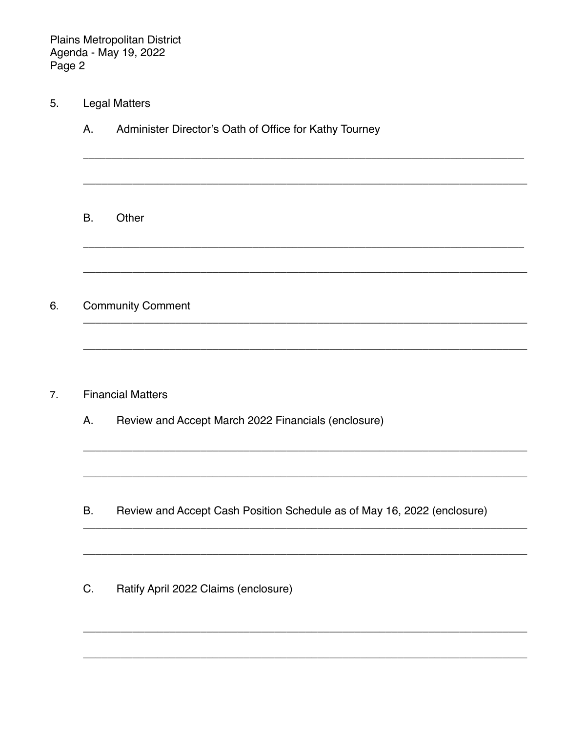**Plains Metropolitan District** Agenda - May 19, 2022 Page 2

- **Legal Matters** 5.
	- Administer Director's Oath of Office for Kathy Tourney  $A_{\cdot}$

B. Other

**Community Comment** 6.

- **Financial Matters**  $7.$ 
	- Α. Review and Accept March 2022 Financials (enclosure)

- В. Review and Accept Cash Position Schedule as of May 16, 2022 (enclosure)
- Ratify April 2022 Claims (enclosure) C.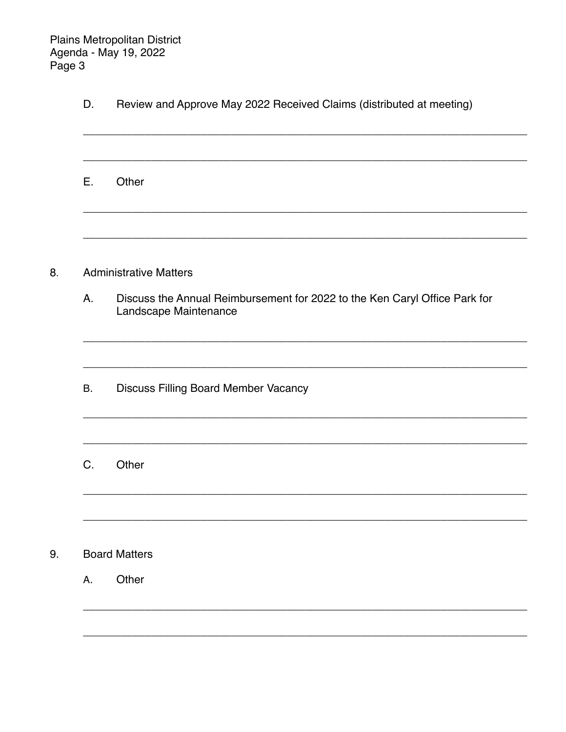Plains Metropolitan District Agenda - May 19, 2022 Page 3

| D. | Review and Approve May 2022 Received Claims (distributed at meeting) |  |
|----|----------------------------------------------------------------------|--|
|----|----------------------------------------------------------------------|--|

E. Other

#### 8. **Administrative Matters**

- Discuss the Annual Reimbursement for 2022 to the Ken Caryl Office Park for Α. Landscape Maintenance
- **Discuss Filling Board Member Vacancy**  $B<sub>1</sub>$
- $C.$ Other

### **Board Matters** 9.

A. Other